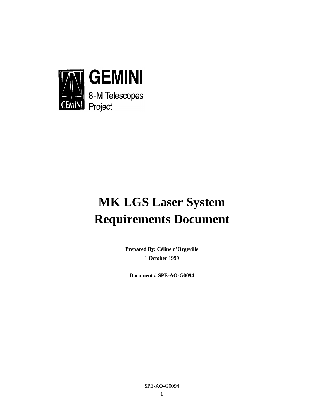

# **MK LGS Laser System Requirements Document**

**Prepared By: Céline d'Orgeville 1 October 1999**

**Document # SPE-AO-G0094**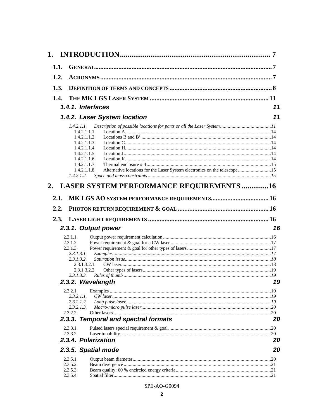| 1.           |                                                                                                                                                                                                                                                                                          | 7  |
|--------------|------------------------------------------------------------------------------------------------------------------------------------------------------------------------------------------------------------------------------------------------------------------------------------------|----|
| 1.1.         |                                                                                                                                                                                                                                                                                          |    |
| 1.2.         |                                                                                                                                                                                                                                                                                          |    |
| 1.3.         |                                                                                                                                                                                                                                                                                          |    |
| 1.4.         |                                                                                                                                                                                                                                                                                          |    |
|              | 1.4.1. Interfaces                                                                                                                                                                                                                                                                        | 11 |
|              | 1.4.2. Laser System location                                                                                                                                                                                                                                                             | 11 |
| 2.           | 1.4.2.1.1.<br>1.4.2.1.1.1.<br>1.4.2.1.1.2.<br>1.4.2.1.1.3.<br>1.4.2.1.1.4.<br>1.4.2.1.1.5.<br>1.4.2.1.1.6.<br>1.4.2.1.1.7.<br>Alternative locations for the Laser System electronics on the telescope15<br>1.4.2.1.1.8.<br>1.4.2.1.2.<br><b>LASER SYSTEM PERFORMANCE REQUIREMENTS 16</b> |    |
| 2.1.         |                                                                                                                                                                                                                                                                                          |    |
| 2.2.<br>2.3. |                                                                                                                                                                                                                                                                                          |    |
|              | 2.3.1. Output power                                                                                                                                                                                                                                                                      | 16 |
|              | 2.3.1.1.<br>2.3.1.2.<br>2.3.1.3.<br>2.3.1.3.1.<br>2.3.1.3.2<br>2.3.1.3.2.1.<br>2.3.1.3.2.2.<br>2.3.1.3.3.                                                                                                                                                                                |    |
|              | 2.3.2. Wavelength<br>2.3.2.1.                                                                                                                                                                                                                                                            | 19 |
|              | 2.3.2.1.1.<br>2.3.2.1.2.<br>2.3.2.1.3.                                                                                                                                                                                                                                                   |    |
|              | 2.3.2.2.<br>2.3.3. Temporal and spectral formats                                                                                                                                                                                                                                         | 20 |
|              | 2.3.3.1.<br>2.3.3.2.                                                                                                                                                                                                                                                                     |    |
|              | 2.3.4. Polarization                                                                                                                                                                                                                                                                      | 20 |
|              | 2.3.5. Spatial mode                                                                                                                                                                                                                                                                      | 20 |
|              | 2.3.5.1.<br>2.3.5.2.<br>2.3.5.3.<br>2.3.5.4.                                                                                                                                                                                                                                             |    |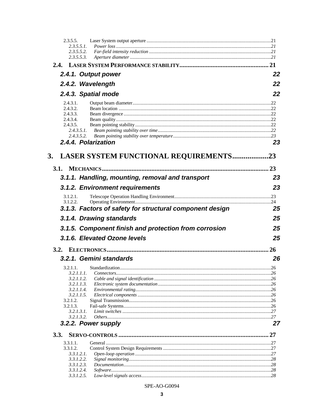| 2.3.5.5.                          |                                                          |     |
|-----------------------------------|----------------------------------------------------------|-----|
| 2.3.5.5.1.                        |                                                          |     |
| 2.3.5.5.2.<br>2.3.5.5.3.          |                                                          |     |
|                                   |                                                          |     |
| 2.4.1. Output power               |                                                          | 22  |
|                                   |                                                          | 22  |
| 2.4.2. Wavelength                 |                                                          |     |
| 2.4.3. Spatial mode               |                                                          | 22  |
| 2.4.3.1.<br>2.4.3.2.              |                                                          |     |
| 2.4.3.3.                          |                                                          |     |
| 2.4.3.4.                          |                                                          |     |
| 2.4.3.5.                          |                                                          |     |
| 2.4.3.5.1.                        |                                                          |     |
| 2.4.3.5.2.<br>2.4.4. Polarization |                                                          | 23  |
|                                   |                                                          |     |
| 3.                                | LASER SYSTEM FUNCTIONAL REQUIREMENTS                     | .23 |
|                                   |                                                          |     |
|                                   |                                                          |     |
|                                   | 3.1.1. Handling, mounting, removal and transport         | 23  |
|                                   | 3.1.2. Environment requirements                          | 23  |
| 3.1.2.1.<br>3.1.2.2.              |                                                          |     |
|                                   | 3.1.3. Factors of safety for structural component design | 25  |
| 3.1.4. Drawing standards          |                                                          | 25  |
|                                   | 3.1.5. Component finish and protection from corrosion    | 25  |
|                                   | 3.1.6. Elevated Ozone levels                             | 25  |
|                                   |                                                          | 26  |
| 3.2.1. Gemini standards           |                                                          | 26  |
| 3.2.1.1.                          |                                                          |     |
| 3.2.1.1.1.                        |                                                          |     |
| 3.2.1.1.2.                        |                                                          |     |
| 3.2.1.1.3.<br>3.2.1.1.4.          |                                                          |     |
| 3.2.1.1.5.                        |                                                          |     |
| 3.2.1.2.                          |                                                          |     |
| 3.2.1.3.                          |                                                          |     |
| 3.2.1.3.1.                        |                                                          |     |
| 3.2.1.3.2.<br>3.2.2. Power supply |                                                          | 27  |
|                                   |                                                          |     |
| 3.3.                              |                                                          |     |
| 3.3.1.1.                          |                                                          |     |
| 3.3.1.2.                          |                                                          |     |
|                                   |                                                          |     |
| 3.3.1.2.1.<br>3.3.1.2.2.          |                                                          |     |
| 3.3.1.2.3.                        |                                                          |     |
| $3.3.1.2.4$ .<br>3.3.1.2.5.       |                                                          |     |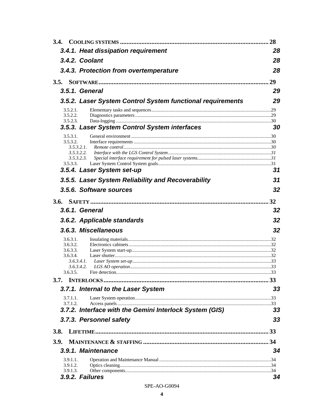| 3.4.                 |                                                            | 28 |
|----------------------|------------------------------------------------------------|----|
|                      | 3.4.1. Heat dissipation requirement                        | 28 |
|                      | 3.4.2. Coolant                                             | 28 |
|                      | 3.4.3. Protection from overtemperature                     | 28 |
|                      |                                                            |    |
|                      | 3.5.1. General                                             | 29 |
|                      | 3.5.2. Laser System Control System functional requirements | 29 |
| 3.5.2.1.             |                                                            |    |
| 3.5.2.2.<br>3.5.2.3. |                                                            |    |
|                      | 3.5.3. Laser System Control System interfaces              | 30 |
| 3.5.3.1.             |                                                            |    |
| 3.5.3.2.             | 3.5.3.2.1.                                                 |    |
|                      | 3.5.3.2.2.<br>3.5.3.2.3.                                   |    |
| 3.5.3.3.             |                                                            |    |
|                      | 3.5.4. Laser System set-up                                 | 31 |
|                      | 3.5.5. Laser System Reliability and Recoverability         | 31 |
|                      | 3.5.6. Software sources                                    | 32 |
|                      |                                                            |    |
|                      | 3.6.1. General                                             | 32 |
|                      | 3.6.2. Applicable standards                                | 32 |
|                      | 3.6.3. Miscellaneous                                       | 32 |
| 3.6.3.1.             |                                                            |    |
| 3.6.3.2.<br>3.6.3.3. |                                                            |    |
| 3.6.3.4.             |                                                            |    |
|                      | 3.6.3.4.1.<br>3.6.3.4.2.                                   |    |
| 3.6.3.5.             |                                                            |    |
| 3.7.                 |                                                            |    |
|                      | 3.7.1. Internal to the Laser System                        | 33 |
| 3.7.1.1.             |                                                            |    |
| 3.7.1.2.             | 3.7.2. Interface with the Gemini Interlock System (GIS)    | 33 |
|                      | 3.7.3. Personnel safety                                    | 33 |
|                      |                                                            |    |
| <b>3.8.</b>          |                                                            |    |
| <b>3.9.</b>          |                                                            |    |
|                      | 3.9.1. Maintenance                                         | 34 |
| 3.9.1.1<br>3.9.1.2.  |                                                            |    |
| 3.9.1.3.             |                                                            |    |
|                      | 3.9.2. Failures                                            | 34 |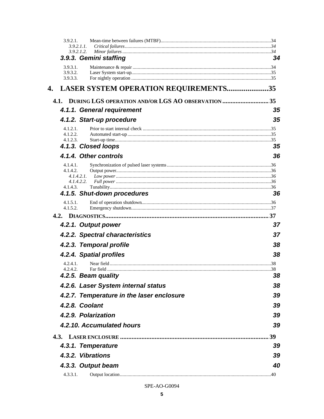| 3.9.2.1.             |                                                                                                                                                                                                                                |    |
|----------------------|--------------------------------------------------------------------------------------------------------------------------------------------------------------------------------------------------------------------------------|----|
|                      | 3.9.2.1.1.<br>3.9.2.1.2.                                                                                                                                                                                                       |    |
|                      | 3.9.3. Gemini staffing                                                                                                                                                                                                         | 34 |
| 3.9.3.1.             |                                                                                                                                                                                                                                |    |
| 3.9.3.2.<br>3.9.3.3. |                                                                                                                                                                                                                                |    |
| 4.                   | LASER SYSTEM OPERATION REQUIREMENTS35                                                                                                                                                                                          |    |
|                      | 4.1. DURING LGS OPERATION AND/OR LGS AO OBSERVATION  35                                                                                                                                                                        |    |
|                      | 4.1.1. General requirement                                                                                                                                                                                                     | 35 |
|                      | 4.1.2. Start-up procedure                                                                                                                                                                                                      | 35 |
| 4.1.2.1.             |                                                                                                                                                                                                                                |    |
| 4.1.2.2.             |                                                                                                                                                                                                                                |    |
| 4.1.2.3.             | 4.1.3. Closed loops                                                                                                                                                                                                            | 35 |
|                      |                                                                                                                                                                                                                                |    |
|                      | 4.1.4. Other controls                                                                                                                                                                                                          | 36 |
| 4.1.4.1.<br>4.1.4.2. |                                                                                                                                                                                                                                |    |
|                      | 4.1.4.2.1.                                                                                                                                                                                                                     |    |
| 4.1.4.3.             | 4.1.4.2.2.                                                                                                                                                                                                                     |    |
|                      | 4.1.5. Shut-down procedures                                                                                                                                                                                                    | 36 |
| 4.1.5.1.<br>4.1.5.2. |                                                                                                                                                                                                                                |    |
|                      |                                                                                                                                                                                                                                |    |
|                      | 4.2.1. Output power                                                                                                                                                                                                            | 37 |
|                      | 4.2.2. Spectral characteristics                                                                                                                                                                                                | 37 |
|                      | 4.2.3. Temporal profile                                                                                                                                                                                                        | 38 |
|                      | 4.2.4. Spatial profiles                                                                                                                                                                                                        | 38 |
| 4.2.4.1.             |                                                                                                                                                                                                                                |    |
| 4.2.4.2              | 4.2.5. Beam quality and the state of the state of the state of the state of the state of the state of the state of the state of the state of the state of the state of the state of the state of the state of the state of the | 38 |
|                      | 4.2.6. Laser System internal status                                                                                                                                                                                            | 38 |
|                      | 4.2.7. Temperature in the laser enclosure                                                                                                                                                                                      | 39 |
|                      | 4.2.8. Coolant                                                                                                                                                                                                                 | 39 |
|                      | 4.2.9. Polarization                                                                                                                                                                                                            | 39 |
|                      | 4.2.10. Accumulated hours                                                                                                                                                                                                      | 39 |
|                      |                                                                                                                                                                                                                                |    |
|                      | 4.3.1. Temperature                                                                                                                                                                                                             | 39 |
|                      | 4.3.2. Vibrations                                                                                                                                                                                                              | 39 |
|                      |                                                                                                                                                                                                                                | 40 |
|                      | 4.3.3. Output beam                                                                                                                                                                                                             |    |
| 4.3.3.1.             |                                                                                                                                                                                                                                |    |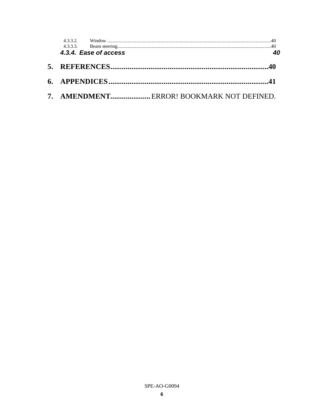|  | 4.3.4. Ease of access |                                          |  |
|--|-----------------------|------------------------------------------|--|
|  |                       |                                          |  |
|  |                       |                                          |  |
|  |                       | 7. AMENDMENTERROR! BOOKMARK NOT DEFINED. |  |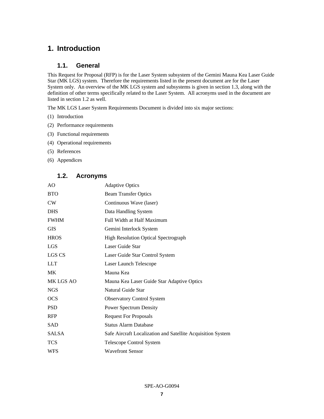# **1. Introduction**

# **1.1. General**

This Request for Proposal (RFP) is for the Laser System subsystem of the Gemini Mauna Kea Laser Guide Star (MK LGS) system. Therefore the requirements listed in the present document are for the Laser System only. An overview of the MK LGS system and subsystems is given in section 1.3, along with the definition of other terms specifically related to the Laser System. All acronyms used in the document are listed in section 1.2 as well.

The MK LGS Laser System Requirements Document is divided into six major sections:

- (1) Introduction
- (2) Performance requirements
- (3) Functional requirements
- (4) Operational requirements
- (5) References
- (6) Appendices

# **1.2. Acronyms**

| AO           | <b>Adaptive Optics</b>                                      |
|--------------|-------------------------------------------------------------|
| <b>BTO</b>   | <b>Beam Transfer Optics</b>                                 |
| CW           | Continuous Wave (laser)                                     |
| <b>DHS</b>   | Data Handling System                                        |
| <b>FWHM</b>  | Full Width at Half Maximum                                  |
| <b>GIS</b>   | Gemini Interlock System                                     |
| <b>HROS</b>  | <b>High Resolution Optical Spectrograph</b>                 |
| <b>LGS</b>   | Laser Guide Star                                            |
| LGS CS       | Laser Guide Star Control System                             |
| <b>LLT</b>   | Laser Launch Telescope                                      |
| MK           | Mauna Kea                                                   |
| MK LGS AO    | Mauna Kea Laser Guide Star Adaptive Optics                  |
| <b>NGS</b>   | Natural Guide Star                                          |
| <b>OCS</b>   | <b>Observatory Control System</b>                           |
| <b>PSD</b>   | <b>Power Spectrum Density</b>                               |
| <b>RFP</b>   | <b>Request For Proposals</b>                                |
| <b>SAD</b>   | <b>Status Alarm Database</b>                                |
| <b>SALSA</b> | Safe Aircraft Localization and Satellite Acquisition System |
| <b>TCS</b>   | Telescope Control System                                    |
| WFS          | <b>Wavefront Sensor</b>                                     |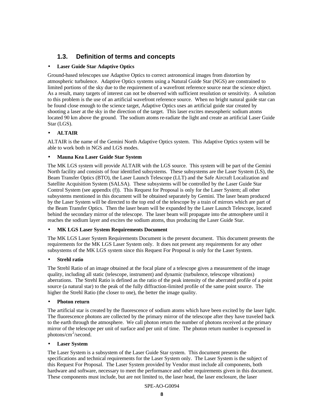# **1.3. Definition of terms and concepts**

### • **Laser Guide Star Adaptive Optics**

Ground-based telescopes use Adaptive Optics to correct astronomical images from distortion by atmospheric turbulence. Adaptive Optics systems using a Natural Guide Star (NGS) are constrained to limited portions of the sky due to the requirement of a wavefront reference source near the science object. As a result, many targets of interest can not be observed with sufficient resolution or sensitivity. A solution to this problem is the use of an artificial wavefront reference source. When no bright natural guide star can be found close enough to the science target, Adaptive Optics uses an artificial guide star created by shooting a laser at the sky in the direction of the target. This laser excites mesospheric sodium atoms located 90 km above the ground. The sodium atoms re-radiate the light and create an artificial Laser Guide Star (LGS).

### • **ALTAIR**

ALTAIR is the name of the Gemini North Adaptive Optics system. This Adaptive Optics system will be able to work both in NGS and LGS modes.

#### • **Mauna Kea Laser Guide Star System**

The MK LGS system will provide ALTAIR with the LGS source. This system will be part of the Gemini North facility and consists of four identified subsystems. These subsystems are the Laser System (LS), the Beam Transfer Optics (BTO), the Laser Launch Telescope (LLT) and the Safe Aircraft Localization and Satellite Acquisition System (SALSA). These subsystems will be controlled by the Laser Guide Star Control System (see appendix (f)). This Request for Proposal is only for the Laser System; all other subsystems mentioned in this document will be obtained separately by Gemini. The laser beam produced by the Laser System will be directed to the top end of the telescope by a train of mirrors which are part of the Beam Transfer Optics. Then the laser beam will be expanded by the Laser Launch Telescope, located behind the secondary mirror of the telescope. The laser beam will propagate into the atmosphere until it reaches the sodium layer and excites the sodium atoms, thus producing the Laser Guide Star.

# • **MK LGS Laser System Requirements Document**

The MK LGS Laser System Requirements Document is the present document. This document presents the requirements for the MK LGS Laser System only. It does not present any requirements for any other subsystems of the MK LGS system since this Request For Proposal is only for the Laser System.

#### • **Strehl ratio**

The Strehl Ratio of an image obtained at the focal plane of a telescope gives a measurement of the image quality, including all static (telescope, instrument) and dynamic (turbulence, telescope vibrations) aberrations. The Strehl Ratio is defined as the ratio of the peak intensity of the aberrated profile of a point source (a natural star) to the peak of the fully diffraction-limited profile of the same point source. The higher the Strehl Ratio (the closer to one), the better the image quality.

#### • **Photon return**

The artificial star is created by the fluorescence of sodium atoms which have been excited by the laser light. The fluorescence photons are collected by the primary mirror of the telescope after they have traveled back to the earth through the atmosphere. We call photon return the number of photons received at the primary mirror of the telescope per unit of surface and per unit of time. The photon return number is expressed in photons/cm<sup>2</sup>/second.

#### • **Laser System**

The Laser System is a subsystem of the Laser Guide Star system. This document presents the specifications and technical requirements for the Laser System only. The Laser System is the subject of this Request For Proposal. The Laser System provided by Vendor must include all components, both hardware and software, necessary to meet the performance and other requirements given in this document. These components must include, but are not limited to, the laser head, the laser enclosure, the laser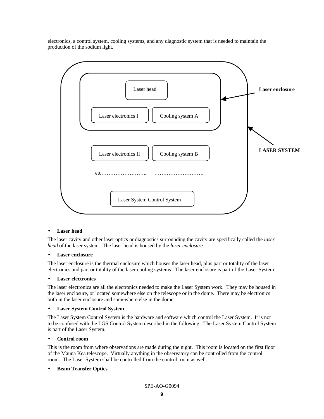electronics, a control system, cooling systems, and any diagnostic system that is needed to maintain the production of the sodium light.



#### • **Laser head**

The laser cavity and other laser optics or diagnostics surrounding the cavity are specifically called the *laser head* of the laser system. The laser head is housed by the *laser enclosure*.

#### • **Laser enclosure**

The laser enclosure is the thermal enclosure which houses the laser head, plus part or totality of the laser electronics and part or totality of the laser cooling systems. The laser enclosure is part of the Laser System.

#### • **Laser electronics**

The laser electronics are all the electronics needed to make the Laser System work. They may be housed in the laser enclosure, or located somewhere else on the telescope or in the dome. There may be electronics both in the laser enclosure and somewhere else in the dome.

### • **Laser System Control System**

The Laser System Control System is the hardware and software which control the Laser System. It is not to be confused with the LGS Control System described in the following. The Laser System Control System is part of the Laser System.

#### • **Control room**

This is the room from where observations are made during the night. This room is located on the first floor of the Mauna Kea telescope. Virtually anything in the observatory can be controlled from the control room. The Laser System shall be controlled from the control room as well.

#### • **Beam Transfer Optics**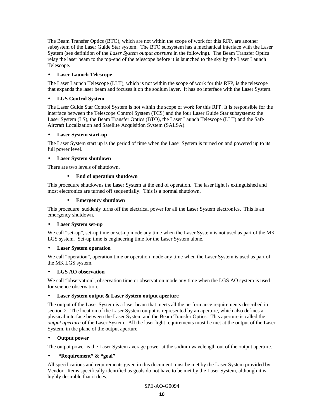The Beam Transfer Optics (BTO), which are not within the scope of work for this RFP, are another subsystem of the Laser Guide Star system. The BTO subsystem has a mechanical interface with the Laser System (see definition of the *Laser System output aperture* in the following). The Beam Transfer Optics relay the laser beam to the top-end of the telescope before it is launched to the sky by the Laser Launch Telescope.

### • **Laser Launch Telescope**

The Laser Launch Telescope (LLT), which is not within the scope of work for this RFP, is the telescope that expands the laser beam and focuses it on the sodium layer. It has no interface with the Laser System.

### • **LGS Control System**

The Laser Guide Star Control System is not within the scope of work for this RFP. It is responsible for the interface between the Telescope Control System (TCS) and the four Laser Guide Star subsystems: the Laser System (LS), the Beam Transfer Optics (BTO), the Laser Launch Telescope (LLT) and the Safe Aircraft Localization and Satellite Acquisition System (SALSA).

### • **Laser System start-up**

The Laser System start up is the period of time when the Laser System is turned on and powered up to its full power level.

#### • **Laser System shutdown**

There are two levels of shutdown.

### • **End of operation shutdown**

This procedure shutdowns the Laser System at the end of operation. The laser light is extinguished and most electronics are turned off sequentially. This is a normal shutdown.

#### • **Emergency shutdown**

This procedure suddenly turns off the electrical power for all the Laser System electronics. This is an emergency shutdown.

#### • **Laser System set-up**

We call "set-up", set-up time or set-up mode any time when the Laser System is not used as part of the MK LGS system. Set-up time is engineering time for the Laser System alone.

#### • **Laser System operation**

We call "operation", operation time or operation mode any time when the Laser System is used as part of the MK LGS system.

#### • **LGS AO observation**

We call "observation", observation time or observation mode any time when the LGS AO system is used for science observation.

#### • **Laser System output & Laser System output aperture**

The output of the Laser System is a laser beam that meets all the performance requirements described in section 2. The location of the Laser System output is represented by an aperture, which also defines a physical interface between the Laser System and the Beam Transfer Optics. This aperture is called the *output aperture* of the Laser System. All the laser light requirements must be met at the output of the Laser System, in the plane of the output aperture.

#### • **Output power**

The output power is the Laser System average power at the sodium wavelength out of the output aperture.

#### • **"Requirement" & "goal"**

All specifications and requirements given in this document must be met by the Laser System provided by Vendor. Items specifically identified as goals do not have to be met by the Laser System, although it is highly desirable that it does.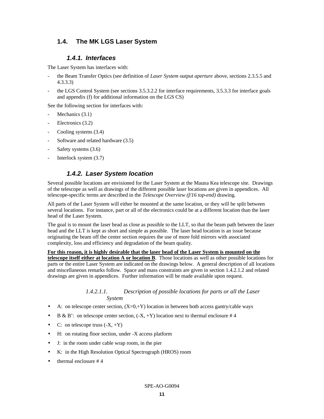# **1.4. The MK LGS Laser System**

# *1.4.1. Interfaces*

The Laser System has interfaces with:

- the Beam Transfer Optics (see definition of *Laser System output aperture* above, sections 2.3.5.5 and 4.3.3.3)
- the LGS Control System (see sections 3.5.3.2.2 for interface requirements, 3.5.3.3 for interface goals and appendix (f) for additional information on the LGS CS)

See the following section for interfaces with:

- Mechanics (3.1)
- Electronics (3.2)
- Cooling systems  $(3.4)$
- Software and related hardware  $(3.5)$
- Safety systems (3.6)
- Interlock system  $(3.7)$

# *1.4.2. Laser System location*

Several possible locations are envisioned for the Laser System at the Mauna Kea telescope site. Drawings of the telescope as well as drawings of the different possible laser locations are given in appendices. All telescope-specific terms are described in the *Telescope Overview (f/16 top-end)* drawing.

All parts of the Laser System will either be mounted at the same location, or they will be split between several locations. For instance, part or all of the electronics could be at a different location than the laser head of the Laser System.

The goal is to mount the laser head as close as possible to the LLT, so that the beam path between the laser head and the LLT is kept as short and simple as possible. The laser head location is an issue because originating the beam off the center section requires the use of more fold mirrors with associated complexity, loss and efficiency and degradation of the beam quality.

# **For this reason, it is highly desirable that the laser head of the Laser System is mounted on the**

**telescope itself either at location A or location B**. Those locations as well as other possible locations for parts or the entire Laser System are indicated on the drawings below. A general description of all locations and miscellaneous remarks follow. Space and mass constraints are given in section 1.4.2.1.2 and related drawings are given in appendices. Further information will be made available upon request.

#### *1.4.2.1.1. Description of possible locations for parts or all the Laser System*

- A: on telescope center section,  $(X=0, +Y)$  location in between both access gantry/cable ways
- B & B': on telescope center section,  $(-X, +Y)$  location next to thermal enclosure #4
- C: on telescope truss  $(-X, +Y)$
- H: on rotating floor section, under -X access platform
- J: in the room under cable wrap room, in the pier
- K: in the High Resolution Optical Spectrograph (HROS) room
- thermal enclosure # 4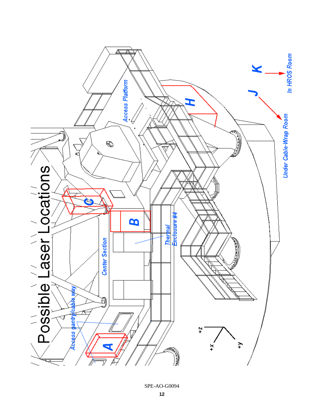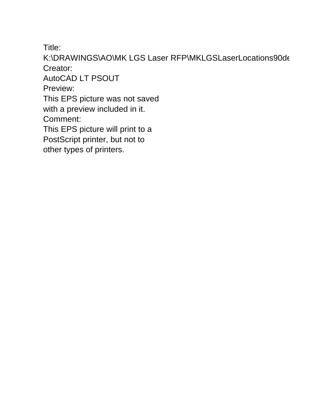Title:

K:\DRAWINGS\AO\MK LGS Laser RFP\MKLGSLaserLocations90de Creator:

AutoCAD LT PSOUT

Preview:

This EPS picture was not saved

with a preview included in it.

Comment:

This EPS picture will print to a

PostScript printer, but not to

other types of printers.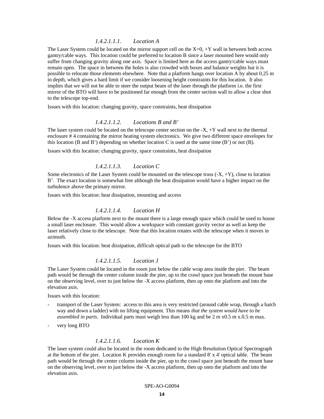#### *1.4.2.1.1.1. Location A*

The Laser System could be located on the mirror support cell on the X=0, +Y wall in between both access gantry/cable ways. This location could be preferred to location B since a laser mounted here would only suffer from changing gravity along one axis. Space is limited here as the access gantry/cable ways must remain open. The space in between the holes is also crowded with boxes and balance weights but it is possible to relocate those elements elsewhere. Note that a platform hangs over location A by about 0.25 m in depth, which gives a hard limit if we consider loosening height constraints for this location. It also implies that we will not be able to steer the output beam of the laser through the platform i.e. the first mirror of the BTO will have to be positioned far enough from the center section wall to allow a clear shot to the telescope top-end.

Issues with this location: changing gravity, space constraints, heat dissipation

#### *1.4.2.1.1.2. Locations B and B'*

The laser system could be located on the telescope center section on the  $-X$ ,  $+Y$  wall next to the thermal enclosure # 4 containing the mirror heating system electronics. We give two different space envelopes for this location (B and B') depending on whether location C is used at the same time  $(B')$  or not  $(B)$ .

Issues with this location: changing gravity, space constraints, heat dissipation

#### *1.4.2.1.1.3. Location C*

Some electronics of the Laser System could be mounted on the telescope truss  $(-X, +Y)$ , close to location B'. The exact location is somewhat free although the heat dissipation would have a higher impact on the turbulence above the primary mirror.

Issues with this location: heat dissipation, mounting and access

#### *1.4.2.1.1.4. Location H*

Below the -X access platform next to the mount there is a large enough space which could be used to house a small laser enclosure. This would allow a workspace with constant gravity vector as well as keep the laser relatively close to the telescope. Note that this location rotates with the telescope when it moves in azimuth.

Issues with this location: heat dissipation, difficult optical path to the telescope for the BTO

# *1.4.2.1.1.5. Location J*

The Laser System could be located in the room just below the cable wrap area inside the pier. The beam path would be through the center column inside the pier, up to the crawl space just beneath the mount base on the observing level, over to just below the -X access platform, then up onto the platform and into the elevation axis.

Issues with this location:

- transport of the Laser System: access to this area is very restricted (around cable wrap, through a hatch way and down a ladder) with no lifting equipment. This means *that the system would have to be assembled in parts*. Individual parts must weigh less than 100 kg and be 2 m x0.5 m x.0.5 m max.
- very long BTO

### *1.4.2.1.1.6. Location K*

The laser system could also be located in the room dedicated to the High Resolution Optical Spectrograph at the bottom of the pier. Location K provides enough room for a standard 8' x 4' optical table. The beam path would be through the center column inside the pier, up to the crawl space just beneath the mount base on the observing level, over to just below the -X access platform, then up onto the platform and into the elevation axis.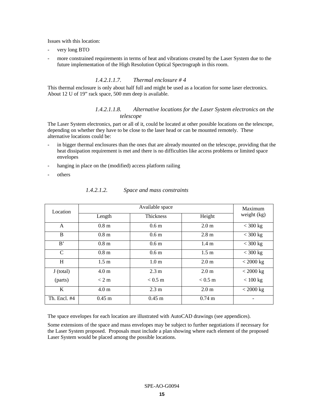Issues with this location:

- very long BTO
- more constrained requirements in terms of heat and vibrations created by the Laser System due to the future implementation of the High Resolution Optical Spectrograph in this room.

#### *1.4.2.1.1.7. Thermal enclosure # 4*

This thermal enclosure is only about half full and might be used as a location for some laser electronics. About 12 U of 19" rack space, 500 mm deep is available.

#### *1.4.2.1.1.8. Alternative locations for the Laser System electronics on the telescope*

The Laser System electronics, part or all of it, could be located at other possible locations on the telescope, depending on whether they have to be close to the laser head or can be mounted remotely. These alternative locations could be:

- in bigger thermal enclosures than the ones that are already mounted on the telescope, providing that the heat dissipation requirement is met and there is no difficulties like access problems or limited space envelopes
- hanging in place on the (modified) access platform railing
- others

| Location      | Available space  |                   |                   | Maximum       |
|---------------|------------------|-------------------|-------------------|---------------|
|               | Length           | <b>Thickness</b>  | Height            | weight $(kg)$ |
| A             | 0.8 <sub>m</sub> | 0.6 <sub>m</sub>  | 2.0 <sub>m</sub>  | $<$ 300 kg    |
| B             | 0.8 <sub>m</sub> | 0.6 <sub>m</sub>  | $2.8 \text{ m}$   | $<$ 300 kg    |
| B'            | 0.8 <sub>m</sub> | 0.6 <sub>m</sub>  | 1.4 <sub>m</sub>  | $<$ 300 kg    |
| $\mathcal{C}$ | 0.8 <sub>m</sub> | 0.6 <sub>m</sub>  | $1.5 \text{ m}$   | $<$ 300 kg    |
| H             | $1.5 \text{ m}$  | 1.0 <sub>m</sub>  | 2.0 <sub>m</sub>  | $<$ 2000 kg   |
| J (total)     | 4.0 <sub>m</sub> | 2.3 m             | 2.0 <sub>m</sub>  | $<$ 2000 kg   |
| (parts)       | < 2 m            | $< 0.5 \text{ m}$ | $< 0.5 \text{ m}$ | < 100 kg      |
| K             | 4.0 <sub>m</sub> | $2.3 \text{ m}$   | 2.0 <sub>m</sub>  | $<$ 2000 kg   |
| Th. Encl. #4  | $0.45 \;{\rm m}$ | $0.45$ m          | $0.74 \text{ m}$  |               |

*1.4.2.1.2. Space and mass constraints*

The space envelopes for each location are illustrated with AutoCAD drawings (see appendices).

Some extensions of the space and mass envelopes may be subject to further negotiations if necessary for the Laser System proposed. Proposals must include a plan showing where each element of the proposed Laser System would be placed among the possible locations.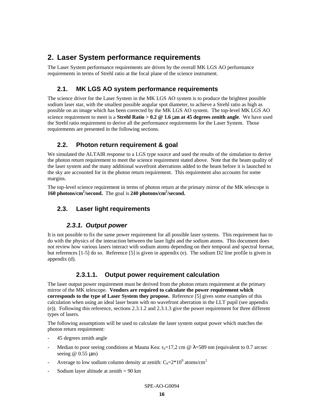# **2. Laser System performance requirements**

The Laser System performance requirements are driven by the overall MK LGS AO performance requirements in terms of Strehl ratio at the focal plane of the science instrument.

# **2.1. MK LGS AO system performance requirements**

The science driver for the Laser System in the MK LGS AO system is to produce the brightest possible sodium laser star, with the smallest possible angular spot diameter, to achieve a Strehl ratio as high as possible on an image which has been corrected by the MK LGS AO system. The top-level MK LGS AO science requirement to meet is a **Strehl Ratio > 0.2 @ 1.6 mm at 45 degrees zenith angle**. We have used the Strehl ratio requirement to derive all the performance requirements for the Laser System. Those requirements are presented in the following sections.

# **2.2. Photon return requirement & goal**

We simulated the ALTAIR response to a LGS type source and used the results of the simulation to derive the photon return requirement to meet the science requirement stated above. Note that the beam quality of the laser system and the many additional wavefront aberrations added to the beam before it is launched to the sky are accounted for in the photon return requirement. This requirement also accounts for some margins.

The top-level science requirement in terms of photon return at the primary mirror of the MK telescope is **160 photons/cm<sup>2</sup> /second.** The goal is **240 photons/cm<sup>2</sup> /second.**

# **2.3. Laser light requirements**

# *2.3.1. Output power*

It is not possible to fix the same power requirement for all possible laser systems. This requirement has to do with the physics of the interaction between the laser light and the sodium atoms. This document does not review how various lasers interact with sodium atoms depending on their temporal and spectral format, but references [1-5] do so. Reference [5] is given in appendix (e). The sodium D2 line profile is given in appendix (d).

# **2.3.1.1. Output power requirement calculation**

The laser output power requirement must be derived from the photon return requirement at the primary mirror of the MK telescope. **Vendors are required to calculate the power requirement which corresponds to the type of Laser System they propose.** Reference [5] gives some examples of this calculation when using an ideal laser beam with no wavefront aberration in the LLT pupil (see appendix (e)). Following this reference, sections 2.3.1.2 and 2.3.1.3 give the power requirement for three different types of lasers.

The following assumptions will be used to calculate the laser system output power which matches the photon return requirement:

- 45 degrees zenith angle
- Median to poor seeing conditions at Mauna Kea:  $r_0=17.2$  cm @  $\lambda=589$  nm (equivalent to 0.7 arcsec seeing  $@$  0.55  $\mu$ m)
- Average to low sodium column density at zenith:  $C_s = 2*10^9$  atoms/cm<sup>2</sup>
- Sodium layer altitude at zenith  $= 90$  km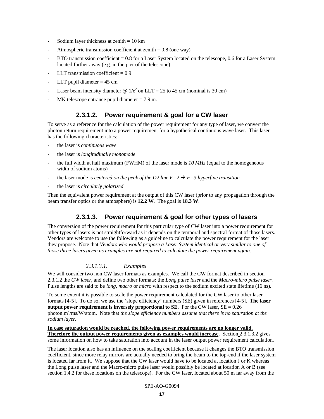- Sodium layer thickness at zenith  $= 10$  km
- Atmospheric transmission coefficient at zenith  $= 0.8$  (one way)
- BTO transmission coefficient  $= 0.8$  for a Laser System located on the telescope, 0.6 for a Laser System located further away (e.g. in the pier of the telescope)
- LLT transmission coefficient  $= 0.9$
- LLT pupil diameter  $= 45$  cm
- Laser beam intensity diameter @  $1/e^2$  on LLT = 25 to 45 cm (nominal is 30 cm)
- MK telescope entrance pupil diameter  $= 7.9$  m.

# **2.3.1.2. Power requirement & goal for a CW laser**

To serve as a reference for the calculation of the power requirement for any type of laser, we convert the photon return requirement into a power requirement for a hypothetical continuous wave laser. This laser has the following characteristics:

- the laser is *continuous wave*
- the laser is *longitudinally monomode*
- the full width at half maximum (FWHM) of the laser mode is  $10 \text{ MHz}$  (equal to the homogeneous width of sodium atoms)
- the laser mode is *centered on the peak of the D2 line*  $F=2 \rightarrow F=3$  *hyperfine transition*
- the laser is *circularly polarized*

Then the equivalent power requirement at the output of this CW laser (prior to any propagation through the beam transfer optics or the atmosphere) is **12.2 W**. The goal is **18.3 W**.

# **2.3.1.3. Power requirement & goal for other types of lasers**

The conversion of the power requirement for this particular type of CW laser into a power requirement for other types of lasers is not straightforward as it depends on the temporal and spectral format of those lasers. Vendors are welcome to use the following as a guideline to calculate the power requirement for the laser they propose. Note that *Vendors who would propose a Laser System identical or very similar to one of those three lasers given as examples are not required to calculate the power requirement again.*

#### *2.3.1.3.1. Examples*

We will consider two non CW laser formats as examples. We call the CW format described in section 2.3.1.2 the *CW laser*, and define two other formats: the *Long pulse laser* and the *Macro-micro pulse laser*. Pulse lengths are said to be *long*, *macro* or *micro* with respect to the sodium excited state lifetime (16 ns).

To some extent it is possible to scale the power requirement calculated for the CW laser to other laser formats [4-5]. To do so, we use the 'slope efficiency' numbers (SE) given in references [4-5]. **The laser output power requirement is inversely proportional to SE.** For the CW laser,  $SE = 0.26$ photon.m<sup>2</sup>/ms/W/atom. Note that *the slope efficiency numbers assume that there is no saturation at the sodium layer.*

**In case saturation would be reached, the following power requirements are no longer valid. Therefore the output power requirements given as examples would increase**. Section 2.3.1.3.2 gives some information on how to take saturation into account in the laser output power requirement calculation.

The laser location also has an influence on the scaling coefficient because it changes the BTO transmission coefficient, since more relay mirrors are actually needed to bring the beam to the top-end if the laser system is located far from it. We suppose that the CW laser would have to be located at location J or K whereas the Long pulse laser and the Macro-micro pulse laser would possibly be located at location A or B (see section 1.4.2 for these locations on the telescope). For the CW laser, located about 50 m far away from the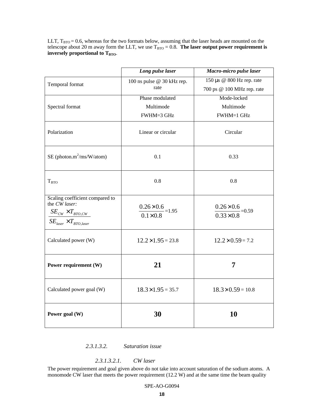LLT,  $T_{\text{BTO}} = 0.6$ , whereas for the two formats below, assuming that the laser heads are mounted on the telescope about 20 m away form the LLT, we use  $T_{\text{BTO}} = 0.8$ . **The laser output power requirement is** inversely proportional to T<sub>BTO</sub>.

|                                                                                                                      | Long pulse laser                                | Macro-micro pulse laser                          |
|----------------------------------------------------------------------------------------------------------------------|-------------------------------------------------|--------------------------------------------------|
| Temporal format                                                                                                      | 100 ns pulse @ 30 kHz rep.                      | 150 μs @ 800 Hz rep. rate                        |
|                                                                                                                      | rate                                            | 700 ps @ 100 MHz rep. rate                       |
|                                                                                                                      | Phase modulated                                 | Mode-locked                                      |
| Spectral format                                                                                                      | Multimode                                       | Multimode                                        |
|                                                                                                                      | FWHM=3 GHz                                      | FWHM=1 GHz                                       |
| Polarization                                                                                                         | Linear or circular                              | Circular                                         |
| $SE$ (photon.m <sup>2</sup> /ms/W/atom)                                                                              | 0.1                                             | 0.33                                             |
| T <sub>BTO</sub>                                                                                                     | 0.8                                             | 0.8                                              |
| Scaling coefficient compared to<br>the CW laser:<br>$SE_{CW} \times T_{BTO,CW}$<br>$SE_{laser} \times T_{BTO,laser}$ | $\frac{0.26 \times 0.6}{0.1 \times 0.8} = 1.95$ | $\frac{0.26 \times 0.6}{0.33 \times 0.8} = 0.59$ |
| Calculated power (W)                                                                                                 | $12.2 \times 1.95 = 23.8$                       | $12.2 \times 0.59 = 7.2$                         |
| Power requirement (W)                                                                                                | 21                                              | 7                                                |
| Calculated power goal (W)                                                                                            | $18.3 \times 1.95 = 35.7$                       | $18.3 \times 0.59 = 10.8$                        |
| Power goal (W)                                                                                                       | 30                                              | 10                                               |

# *2.3.1.3.2. Saturation issue*

### *2.3.1.3.2.1. CW laser*

The power requirement and goal given above do not take into account saturation of the sodium atoms. A monomode CW laser that meets the power requirement (12.2 W) and at the same time the beam quality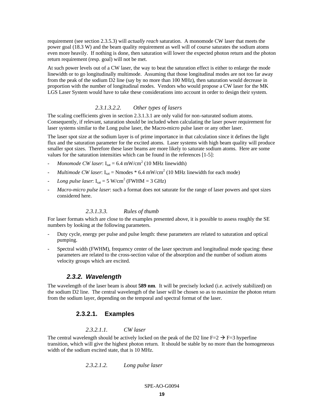requirement (see section 2.3.5.3) will *actually reach* saturation. A monomode CW laser that meets the power goal (18.3 W) and the beam quality requirement as well will of course saturates the sodium atoms even more heavily. If nothing is done, then saturation will lower the expected photon return and the photon return requirement (resp. goal) will not be met.

At such power levels out of a CW laser, the way to beat the saturation effect is either to enlarge the mode linewidth or to go longitudinally multimode. Assuming that those longitudinal modes are not too far away from the peak of the sodium D2 line (say by no more than 100 MHz), then saturation would decrease in proportion with the number of longitudinal modes. Vendors who would propose a CW laser for the MK LGS Laser System would have to take these considerations into account in order to design their system.

#### *2.3.1.3.2.2. Other types of lasers*

The scaling coefficients given in section 2.3.1.3.1 are only valid for non-saturated sodium atoms. Consequently, if relevant, saturation should be included when calculating the laser power requirement for laser systems similar to the Long pulse laser, the Macro-micro pulse laser or any other laser.

The laser spot size at the sodium layer is of prime importance in that calculation since it defines the light flux and the saturation parameter for the excited atoms. Laser systems with high beam quality will produce smaller spot sizes. Therefore these laser beams are more likely to saturate sodium atoms. Here are some values for the saturation intensities which can be found in the references [1-5]:

- *Monomode CW laser*:  $I_{sat} = 6.4$  mW/cm<sup>2</sup> (10 MHz linewidth)
- $-$  *Multimode CW laser*:  $I_{sat}$  = Nmodes  $*$  6.4 mW/cm<sup>2</sup> (10 MHz linewidth for each mode)
- *Long pulse laser*:  $I_{sat} = 5$  W/cm<sup>2</sup> (FWHM = 3 GHz)
- *Macro-micro pulse laser*: such a format does not saturate for the range of laser powers and spot sizes considered here.

#### *2.3.1.3.3. Rules of thumb*

For laser formats which are close to the examples presented above, it is possible to assess roughly the SE numbers by looking at the following parameters.

- Duty cycle, energy per pulse and pulse length: these parameters are related to saturation and optical pumping.
- Spectral width (FWHM), frequency center of the laser spectrum and longitudinal mode spacing: these parameters are related to the cross-section value of the absorption and the number of sodium atoms velocity groups which are excited.

#### *2.3.2. Wavelength*

The wavelength of the laser beam is about **589 nm**. It will be precisely locked (i.e. actively stabilized) on the sodium D2 line. The central wavelength of the laser will be chosen so as to maximize the photon return from the sodium layer, depending on the temporal and spectral format of the laser.

### **2.3.2.1. Examples**

#### *2.3.2.1.1. CW laser*

The central wavelength should be actively locked on the peak of the D2 line  $F=2 \rightarrow F=3$  hyperfine transition, which will give the highest photon return*.* It should be stable by no more than the homogeneous width of the sodium excited state, that is 10 MHz.

*2.3.2.1.2. Long pulse laser*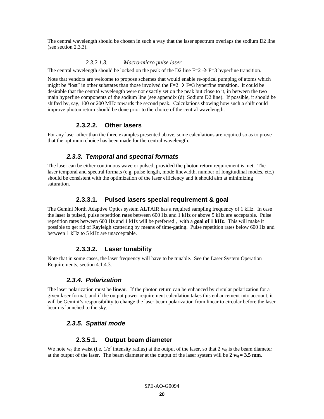The central wavelength should be chosen in such a way that the laser spectrum overlaps the sodium D2 line (see section 2.3.3).

#### *2.3.2.1.3. Macro-micro pulse laser*

The central wavelength should be locked on the peak of the D2 line  $F=2 \rightarrow F=3$  hyperfine transition.

Note that vendors are welcome to propose schemes that would enable re-optical pumping of atoms which might be "lost" in other substates than those involved the  $F=2 \rightarrow F=3$  hyperfine transition. It could be desirable that the central wavelength were not exactly set on the peak but close to it, in between the two main hyperfine components of the sodium line (see appendix (d): Sodium D2 line). If possible, it should be shifted by, say, 100 or 200 MHz towards the second peak. Calculations showing how such a shift could improve photon return should be done prior to the choice of the central wavelength.

### **2.3.2.2. Other lasers**

For any laser other than the three examples presented above, some calculations are required so as to prove that the optimum choice has been made for the central wavelength.

# *2.3.3. Temporal and spectral formats*

The laser can be either continuous wave or pulsed, provided the photon return requirement is met. The laser temporal and spectral formats (e.g. pulse length, mode linewidth, number of longitudinal modes, etc.) should be consistent with the optimization of the laser efficiency and it should aim at minimizing saturation.

# **2.3.3.1. Pulsed lasers special requirement & goal**

The Gemini North Adaptive Optics system ALTAIR has a required sampling frequency of 1 kHz. In case the laser is pulsed, pulse repetition rates between 600 Hz and 1 kHz or above 5 kHz are acceptable. Pulse repetition rates between 600 Hz and 1 kHz will be preferred , with a **goal of 1 kHz**. This will make it possible to get rid of Rayleigh scattering by means of time-gating. Pulse repetition rates below 600 Hz and between 1 kHz to 5 kHz are unacceptable.

# **2.3.3.2. Laser tunability**

Note that in some cases, the laser frequency will have to be tunable. See the Laser System Operation Requirements, section 4.1.4.3.

# *2.3.4. Polarization*

The laser polarization must be **linear**. If the photon return can be enhanced by circular polarization for a given laser format, and if the output power requirement calculation takes this enhancement into account, it will be Gemini's responsibility to change the laser beam polarization from linear to circular before the laser beam is launched to the sky.

# *2.3.5. Spatial mode*

# **2.3.5.1. Output beam diameter**

We note  $w_0$  the waist (i.e.  $1/e^2$  intensity radius) at the output of the laser, so that 2  $w_0$  is the beam diameter at the output of the laser. The beam diameter at the output of the laser system will be  $2 w_0 = 3.5$  mm.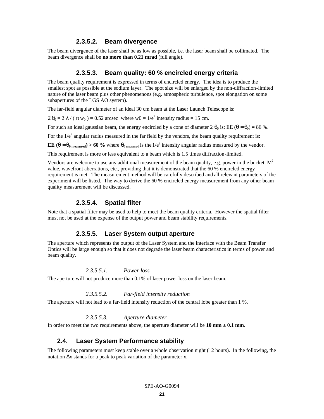#### **2.3.5.2. Beam divergence**

The beam divergence of the laser shall be as low as possible, i.e. the laser beam shall be collimated. The beam divergence shall be **no more than 0.21 mrad** (full angle).

#### **2.3.5.3. Beam quality: 60 % encircled energy criteria**

The beam quality requirement is expressed in terms of encircled energy. The idea is to produce the smallest spot as possible at the sodium layer. The spot size will be enlarged by the non-diffraction-limited nature of the laser beam plus other phenomenons (e.g. atmospheric turbulence, spot elongation on some subapertures of the LGS AO system).

The far-field angular diameter of an ideal 30 cm beam at the Laser Launch Telescope is:

 $2 \theta_0 = 2 \lambda / (\pi w_0) = 0.52$  arcsec where  $w0 = 1/e^2$  intensity radius = 15 cm.

For such an ideal gaussian beam, the energy encircled by a cone of diameter  $2 \theta_0$  is: EE ( $\theta = \theta_0$ ) = 86 %.

For the  $1/e^2$  angular radius measured in the far field by the vendors, the beam quality requirement is:

**EE** (**q** =  $\mathbf{q}_{0}$  measured) > 60 % where  $\theta_{0}$  measured is the 1/e<sup>2</sup> intensity angular radius measured by the vendor.

This requirement is more or less equivalent to a beam which is 1.5 times diffraction-limited.

Vendors are welcome to use any additional measurement of the beam quality, e.g. power in the bucket,  $M^2$ value, wavefront aberrations, etc., providing that it is demonstrated that the 60 % encircled energy requirement is met. The measurement method will be carefully described and all relevant parameters of the experiment will be listed. The way to derive the 60 % encircled energy measurement from any other beam quality measurement will be discussed.

#### **2.3.5.4. Spatial filter**

Note that a spatial filter may be used to help to meet the beam quality criteria. However the spatial filter must not be used at the expense of the output power and beam stability requirements.

#### **2.3.5.5. Laser System output aperture**

The aperture which represents the output of the Laser System and the interface with the Beam Transfer Optics will be large enough so that it does not degrade the laser beam characteristics in terms of power and beam quality.

# *2.3.5.5.1. Power loss*

The aperture will not produce more than 0.1% of laser power loss on the laser beam.

#### *2.3.5.5.2. Far-field intensity reduction*

The aperture will not lead to a far-field intensity reduction of the central lobe greater than 1 %.

# *2.3.5.5.3. Aperture diameter*

In order to meet the two requirements above, the aperture diameter will be  $10 \text{ mm} \pm 0.1 \text{ mm}$ .

#### **2.4. Laser System Performance stability**

The following parameters must keep stable over a whole observation night (12 hours). In the following, the notation  $Δx$  stands for a peak to peak variation of the parameter x.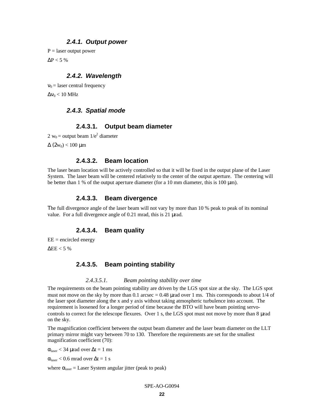### *2.4.1. Output power*

 $P =$  laser output power

 $\Delta P < 5$  %

# *2.4.2. Wavelength*

 $v_0$  = laser central frequency  $\Delta v_0$  < 10 MHz

# *2.4.3. Spatial mode*

### **2.4.3.1. Output beam diameter**

2  $w_0$  = output beam  $1/e^2$  diameter

 $Δ (2w<sub>0</sub>) < 100 μm$ 

# **2.4.3.2. Beam location**

The laser beam location will be actively controlled so that it will be fixed in the output plane of the Laser System. The laser beam will be centered relatively to the center of the output aperture. The centering will be better than 1 % of the output aperture diameter (for a 10 mm diameter, this is 100  $\mu$ m).

#### **2.4.3.3. Beam divergence**

The full divergence angle of the laser beam will not vary by more than 10 % peak to peak of its nominal value. For a full divergence angle of 0.21 mrad, this is 21 μrad.

# **2.4.3.4. Beam quality**

 $EE =$  encircled energy

 $\Delta EE < 5$  %

# **2.4.3.5. Beam pointing stability**

#### *2.4.3.5.1. Beam pointing stability over time*

The requirements on the beam pointing stability are driven by the LGS spot size at the sky. The LGS spot must not move on the sky by more than 0.1 arcsec  $= 0.48$  µrad over 1 ms. This corresponds to about  $1/4$  of the laser spot diameter along the x and y axis without taking atmospheric turbulence into account. The requirement is loosened for a longer period of time because the BTO will have beam pointing servocontrols to correct for the telescope flexures. Over 1 s, the LGS spot must not move by more than 8 μrad on the sky.

The magnification coefficient between the output beam diameter and the laser beam diameter on the LLT primary mirror might vary between 70 to 130. Therefore the requirements are set for the smallest magnification coefficient (70):

 $\alpha_{\text{laser}}$  < 34 μrad over  $\Delta t = 1$  ms

 $\alpha_{\text{laser}}$  < 0.6 mrad over  $\Delta t = 1$  s

where  $\alpha_{\text{laser}} =$  Laser System angular jitter (peak to peak)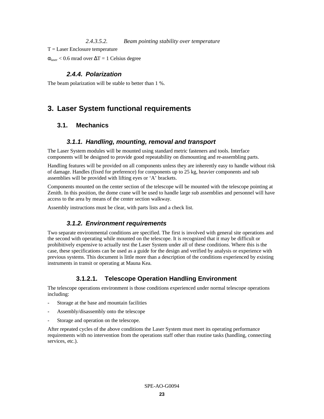### *2.4.3.5.2. Beam pointing stability over temperature*

 $T =$ Laser Enclosure temperature

 $\alpha_{\text{laser}}$  < 0.6 mrad over  $\Delta T = 1$  Celsius degree

# *2.4.4. Polarization*

The beam polarization will be stable to better than 1 %.

# **3. Laser System functional requirements**

# **3.1. Mechanics**

# *3.1.1. Handling, mounting, removal and transport*

The Laser System modules will be mounted using standard metric fasteners and tools. Interface components will be designed to provide good repeatability on dismounting and re-assembling parts.

Handling features will be provided on all components unless they are inherently easy to handle without risk of damage. Handles (fixed for preference) for components up to 25 kg, heavier components and sub assemblies will be provided with lifting eyes or 'A' brackets.

Components mounted on the center section of the telescope will be mounted with the telescope pointing at Zenith. In this position, the dome crane will be used to handle large sub assemblies and personnel will have access to the area by means of the center section walkway.

Assembly instructions must be clear, with parts lists and a check list.

# *3.1.2. Environment requirements*

Two separate environmental conditions are specified. The first is involved with general site operations and the second with operating while mounted on the telescope. It is recognized that it may be difficult or prohibitively expensive to actually test the Laser System under all of these conditions. Where this is the case, these specifications can be used as a guide for the design and verified by analysis or experience with previous systems. This document is little more than a description of the conditions experienced by existing instruments in transit or operating at Mauna Kea.

# **3.1.2.1. Telescope Operation Handling Environment**

The telescope operations environment is those conditions experienced under normal telescope operations including:

- Storage at the base and mountain facilities
- Assembly/disassembly onto the telescope
- Storage and operation on the telescope.

After repeated cycles of the above conditions the Laser System must meet its operating performance requirements with no intervention from the operations staff other than routine tasks (handling, connecting services, etc.).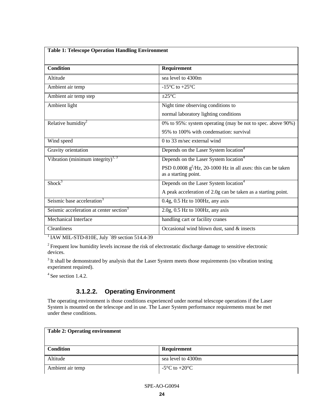| <b>Table 1: Telescope Operation Handling Environment</b> |                                                                                         |  |
|----------------------------------------------------------|-----------------------------------------------------------------------------------------|--|
| <b>Condition</b>                                         | Requirement                                                                             |  |
| Altitude                                                 | sea level to 4300m                                                                      |  |
| Ambient air temp                                         | $-15^{\circ}$ C to $+25^{\circ}$ C                                                      |  |
| Ambient air temp step                                    | $\pm 25^{\circ}$ C                                                                      |  |
| Ambient light                                            | Night time observing conditions to                                                      |  |
|                                                          | normal laboratory lighting conditions                                                   |  |
| Relative humidity <sup>2</sup>                           | 0% to 95%: system operating (may be not to spec. above 90%)                             |  |
|                                                          | 95% to 100% with condensation: survival                                                 |  |
| Wind speed                                               | 0 to 33 m/sec external wind                                                             |  |
| Gravity orientation                                      | Depends on the Laser System location <sup>4</sup>                                       |  |
| Vibration (minimum integrity) <sup>1, 3</sup>            | Depends on the Laser System location <sup>4</sup>                                       |  |
|                                                          | PSD 0.0008 $g^2$ /Hz, 20-1000 Hz in all axes: this can be taken<br>as a starting point. |  |
| Short <sup>3</sup>                                       | Depends on the Laser System location <sup>4</sup>                                       |  |
|                                                          | A peak acceleration of 2.0g can be taken as a starting point.                           |  |
| Seismic base acceleration <sup>3</sup>                   | 0.4g, 0.5 Hz to 100Hz, any axis                                                         |  |
| Seismic acceleration at center section <sup>3</sup>      | $2.0g$ , $0.5$ Hz to $100Hz$ , any axis                                                 |  |
| Mechanical Interface                                     | handling cart or facility cranes                                                        |  |
| <b>Cleanliness</b>                                       | Occasional wind blown dust, sand & insects                                              |  |

<sup>1</sup> IAW MIL-STD-810E, July `89 section 514.4-39

<sup>2</sup> Frequent low humidity levels increase the risk of electrostatic discharge damage to sensitive electronic devices.

<sup>3</sup> It shall be demonstrated by analysis that the Laser System meets those requirements (no vibration testing experiment required).

<sup>4</sup> See section 1.4.2.

# **3.1.2.2. Operating Environment**

The operating environment is those conditions experienced under normal telescope operations if the Laser System is mounted on the telescope and in use. The Laser System performance requirements must be met under these conditions.

| <b>Table 2: Operating environment</b> |                                         |
|---------------------------------------|-----------------------------------------|
| <b>Condition</b>                      | Requirement                             |
| Altitude                              | sea level to 4300m                      |
| Ambient air temp                      | -5 <sup>o</sup> C to +20 <sup>o</sup> C |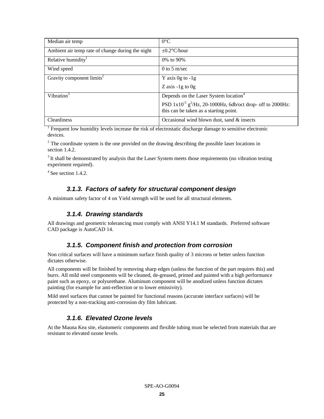| Median air temp                                  | $0^{\circ}$ C                                                                                                         |
|--------------------------------------------------|-----------------------------------------------------------------------------------------------------------------------|
| Ambient air temp rate of change during the night | $\pm 0.2$ °C/hour                                                                                                     |
| Relative humidity <sup>1</sup>                   | 0\% to 90\%                                                                                                           |
| Wind speed                                       | 0 to 5 m/sec                                                                                                          |
| Gravity component limits <sup>2</sup>            | Y axis $0g$ to $-1g$                                                                                                  |
|                                                  | Z axis $-1g$ to $0g$                                                                                                  |
| Vibration <sup>3</sup>                           | Depends on the Laser System location <sup>4</sup>                                                                     |
|                                                  | PSD $1x10^{-5}$ g <sup>2</sup> /Hz, 20-1000Hz, 6db/oct drop- off to 2000Hz:<br>this can be taken as a starting point. |
| <b>Cleanliness</b>                               | Occasional wind blown dust, sand & insects                                                                            |

<sup>1</sup> Frequent low humidity levels increase the risk of electrostatic discharge damage to sensitive electronic devices.

 $2^{2}$  The coordinate system is the one provided on the drawing describing the possible laser locations in section 1.4.2.

<sup>3</sup> It shall be demonstrated by analysis that the Laser System meets those requirements (no vibration testing experiment required).

 $4$  See section 1.4.2.

# *3.1.3. Factors of safety for structural component design*

A minimum safety factor of 4 on Yield strength will be used for all structural elements.

# *3.1.4. Drawing standards*

All drawings and geometric tolerancing must comply with ANSI Y14.1 M standards. Preferred software CAD package is AutoCAD 14.

# *3.1.5. Component finish and protection from corrosion*

Non critical surfaces will have a minimum surface finish quality of 3 microns or better unless function dictates otherwise.

All components will be finished by removing sharp edges (unless the function of the part requires this) and burrs. All mild steel components will be cleaned, de-greased, primed and painted with a high performance paint such as epoxy, or polyurethane. Aluminum component will be anodized unless function dictates painting (for example for anti-reflection or to lower emissivity).

Mild steel surfaces that cannot be painted for functional reasons (accurate interface surfaces) will be protected by a non-tracking anti-corrosion dry film lubricant.

# *3.1.6. Elevated Ozone levels*

At the Mauna Kea site, elastomeric components and flexible tubing must be selected from materials that are resistant to elevated ozone levels.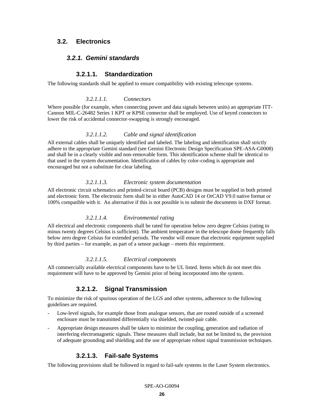# **3.2. Electronics**

# *3.2.1. Gemini standards*

# **3.2.1.1. Standardization**

The following standards shall be applied to ensure compatibility with existing telescope systems.

### *3.2.1.1.1. Connectors*

Where possible (for example, when connecting power and data signals between units) an appropriate ITT-Cannon MIL-C-26482 Series 1 KPT or KPSE connector shall be employed. Use of keyed connectors to lower the risk of accidental connector-swapping is strongly encouraged.

### *3.2.1.1.2. Cable and signal identification*

All external cables shall be uniquely identified and labeled. The labeling and identification shall strictly adhere to the appropriate Gemini standard (see Gemini Electronic Design Specification SPE-ASA-G0008) and shall be in a clearly visible and non-removable form. This identification scheme shall be identical to that used in the system documentation. Identification of cables by color-coding is appropriate and encouraged but not a substitute for clear labeling.

### *3.2.1.1.3. Electronic system documentation*

All electronic circuit schematics and printed-circuit board (PCB) designs must be supplied in both printed and electronic form. The electronic form shall be in either AutoCAD 14 or OrCAD V9.0 native format or 100% compatible with it. An alternative if this is not possible is to submit the documents in DXF format.

# *3.2.1.1.4. Environmental rating*

All electrical and electronic components shall be rated for operation below zero degree Celsius (rating to minus twenty degrees Celsius is sufficient). The ambient temperature in the telescope dome frequently falls below zero degree Celsius for extended periods. The vendor will ensure that electronic equipment supplied by third parties – for example, as part of a sensor package – meets this requirement.

#### *3.2.1.1.5. Electrical components*

All commercially available electrical components have to be UL listed. Items which do not meet this requirement will have to be approved by Gemini prior of being incorporated into the system.

# **3.2.1.2. Signal Transmission**

To minimize the risk of spurious operation of the LGS and other systems, adherence to the following guidelines are required.

- Low-level signals, for example those from analogue sensors, that are routed outside of a screened enclosure must be transmitted differentially via shielded, twisted-pair cable.
- Appropriate design measures shall be taken to minimize the coupling, generation and radiation of interfering electromagnetic signals. These measures shall include, but not be limited to, the provision of adequate grounding and shielding and the use of appropriate robust signal transmission techniques.

# **3.2.1.3. Fail-safe Systems**

The following provisions shall be followed in regard to fail-safe systems in the Laser System electronics.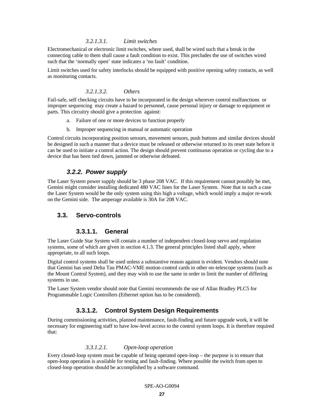### *3.2.1.3.1. Limit switches*

Electromechanical or electronic limit switches, where used, shall be wired such that a break in the connecting cable to them shall cause a fault condition to exist. This precludes the use of switches wired such that the 'normally open' state indicates a 'no fault' condition.

Limit switches used for safety interlocks should be equipped with positive opening safety contacts, as well as monitoring contacts.

#### *3.2.1.3.2. Others*

Fail-safe, self checking circuits have to be incorporated in the design wherever control malfunctions or improper sequencing may create a hazard to personnel, cause personal injury or damage to equipment or parts. This circuitry should give a protection against:

- a. Failure of one or more devices to function properly
- b. Improper sequencing in manual or automatic operation

Control circuits incorporating position sensors, movement sensors, push buttons and similar devices should be designed in such a manner that a device must be released or otherwise returned to its reset state before it can be used to initiate a control action. The design should prevent continuous operation or cycling due to a device that has been tied down, jammed or otherwise defeated.

# *3.2.2. Power supply*

The Laser System power supply should be 3 phase 208 VAC. If this requirement cannot possibly be met, Gemini might consider installing dedicated 480 VAC lines for the Laser System. Note that in such a case the Laser System would be the only system using this high a voltage, which would imply a major re-work on the Gemini side. The amperage available is 30A for 208 VAC.

# **3.3. Servo-controls**

# **3.3.1.1. General**

The Laser Guide Star System will contain a number of independent closed-loop servo and regulation systems, some of which are given in section 4.1.3. The general principles listed shall apply, where appropriate, to all such loops.

Digital control systems shall be used unless a substantive reason against is evident. Vendors should note that Gemini has used Delta Tau PMAC-VME motion-control cards in other on-telescope systems (such as the Mount Control System), and they may wish to use the same in order to limit the number of differing systems in use.

The Laser System vendor should note that Gemini recommends the use of Allan Bradley PLC5 for Programmable Logic Controllers (Ethernet option has to be considered).

# **3.3.1.2. Control System Design Requirements**

During commissioning activities, planned maintenance, fault-finding and future upgrade work, it will be necessary for engineering staff to have low-level access to the control system loops. It is therefore required that:

#### *3.3.1.2.1. Open-loop operation*

Every closed-loop system must be capable of being operated open-loop – the purpose is to ensure that open-loop operation is available for testing and fault-finding. Where possible the switch from open to closed-loop operation should be accomplished by a software command.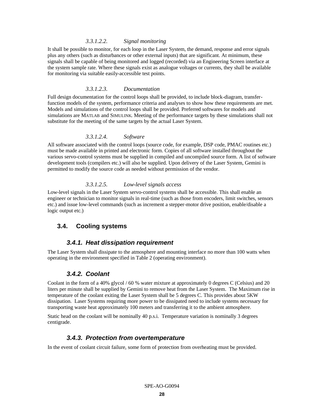#### *3.3.1.2.2. Signal monitoring*

It shall be possible to monitor, for each loop in the Laser System, the demand, response and error signals plus any others (such as disturbances or other external inputs) that are significant. At minimum, these signals shall be capable of being monitored and logged (recorded) via an Engineering Screen interface at the system sample rate. Where these signals exist as analogue voltages or currents, they shall be available for monitoring via suitable easily-accessible test points.

#### *3.3.1.2.3. Documentation*

Full design documentation for the control loops shall be provided, to include block-diagram, transferfunction models of the system, performance criteria and analyses to show how these requirements are met. Models and simulations of the control loops shall be provided. Preferred softwares for models and simulations are MATLAB and SIMULINK. Meeting of the performance targets by these simulations shall not substitute for the meeting of the same targets by the actual Laser System.

#### *3.3.1.2.4. Software*

All software associated with the control loops (source code, for example, DSP code, PMAC routines etc.) must be made available in printed and electronic form. Copies of all software installed throughout the various servo-control systems must be supplied in compiled and uncompiled source form. A list of software development tools (compilers etc.) will also be supplied. Upon delivery of the Laser System, Gemini is permitted to modify the source code as needed without permission of the vendor.

#### *3.3.1.2.5. Low-level signals access*

Low-level signals in the Laser System servo-control systems shall be accessible. This shall enable an engineer or technician to monitor signals in real-time (such as those from encoders, limit switches, sensors etc.) and issue low-level commands (such as increment a stepper-motor drive position, enable/disable a logic output etc.)

# **3.4. Cooling systems**

### *3.4.1. Heat dissipation requirement*

The Laser System shall dissipate to the atmosphere and mounting interface no more than 100 watts when operating in the environment specified in Table 2 (operating environment).

#### *3.4.2. Coolant*

Coolant in the form of a 40% glycol / 60 % water mixture at approximately 0 degrees C (Celsius) and 20 liters per minute shall be supplied by Gemini to remove heat from the Laser System. The Maximum rise in temperature of the coolant exiting the Laser System shall be 5 degrees C. This provides about 5KW dissipation. Laser Systems requiring more power to be dissipated need to include systems necessary for transporting waste heat approximately 100 meters and transferring it to the ambient atmosphere.

Static head on the coolant will be nominally 40 p.s.i. Temperature variation is nominally 3 degrees centigrade.

### *3.4.3. Protection from overtemperature*

In the event of coolant circuit failure, some form of protection from overheating must be provided.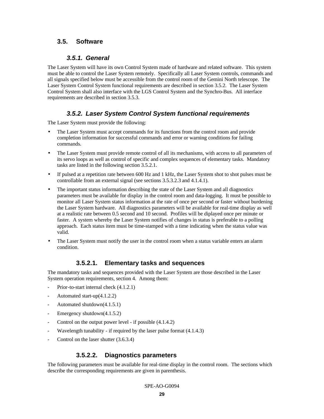# **3.5. Software**

# *3.5.1. General*

The Laser System will have its own Control System made of hardware and related software. This system must be able to control the Laser System remotely. Specifically all Laser System controls, commands and all signals specified below must be accessible from the control room of the Gemini North telescope. The Laser System Control System functional requirements are described in section 3.5.2. The Laser System Control System shall also interface with the LGS Control System and the Synchro-Bus. All interface requirements are described in section 3.5.3.

# *3.5.2. Laser System Control System functional requirements*

The Laser System must provide the following:

- The Laser System must accept commands for its functions from the control room and provide completion information for successful commands and error or warning conditions for failing commands.
- The Laser System must provide remote control of all its mechanisms, with access to all parameters of its servo loops as well as control of specific and complex sequences of elementary tasks. Mandatory tasks are listed in the following section 3.5.2.1.
- If pulsed at a repetition rate between 600 Hz and 1 kHz, the Laser System shot to shot pulses must be controllable from an external signal (see sections 3.5.3.2.3 and 4.1.4.1).
- The important status information describing the state of the Laser System and all diagnostics parameters must be available for display in the control room and data-logging. It must be possible to monitor all Laser System status information at the rate of once per second or faster without burdening the Laser System hardware. All diagnostics parameters will be available for real-time display as well at a realistic rate between 0.5 second and 10 second. Profiles will be diplayed once per minute or faster. A system whereby the Laser System notifies of changes in status is preferable to a polling approach. Each status item must be time-stamped with a time indicating when the status value was valid.
- The Laser System must notify the user in the control room when a status variable enters an alarm condition.

# **3.5.2.1. Elementary tasks and sequences**

The mandatory tasks and sequences provided with the Laser System are those described in the Laser System operation requirements, section 4. Among them:

- Prior-to-start internal check (4.1.2.1)
- Automated start-up(4.1.2.2)
- Automated shutdown(4.1.5.1)
- Emergency shutdown $(4.1.5.2)$
- Control on the output power level if possible  $(4.1.4.2)$
- Wavelength tunability if required by the laser pulse format  $(4.1.4.3)$
- Control on the laser shutter  $(3.6.3.4)$

# **3.5.2.2. Diagnostics parameters**

The following parameters must be available for real-time display in the control room. The sections which describe the corresponding requirements are given in parenthesis.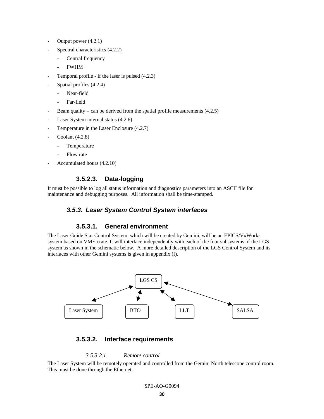- Output power  $(4.2.1)$
- Spectral characteristics  $(4.2.2)$ 
	- Central frequency
	- FWHM
- Temporal profile if the laser is pulsed  $(4.2.3)$
- Spatial profiles (4.2.4)
	- Near-field
	- Far-field
- Beam quality can be derived from the spatial profile measurements  $(4.2.5)$
- Laser System internal status (4.2.6)
- Temperature in the Laser Enclosure  $(4.2.7)$
- Coolant  $(4.2.8)$ 
	- Temperature
	- Flow rate
- Accumulated hours (4.2.10)

# **3.5.2.3. Data-logging**

It must be possible to log all status information and diagnostics parameters into an ASCII file for maintenance and debugging purposes. All information shall be time-stamped.

# *3.5.3. Laser System Control System interfaces*

# **3.5.3.1. General environment**

The Laser Guide Star Control System, which will be created by Gemini, will be an EPICS/VxWorks system based on VME crate. It will interface independently with each of the four subsystems of the LGS system as shown in the schematic below. A more detailed description of the LGS Control System and its interfaces with other Gemini systems is given in appendix (f).



# **3.5.3.2. Interface requirements**

#### *3.5.3.2.1. Remote control*

The Laser System will be remotely operated and controlled from the Gemini North telescope control room. This must be done through the Ethernet.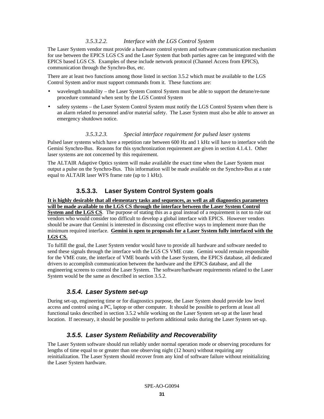### *3.5.3.2.2. Interface with the LGS Control System*

The Laser System vendor must provide a hardware control system and software communication mechanism for use between the EPICS LGS CS and the Laser System that both parties agree can be integrated with the EPICS based LGS CS. Examples of these include network protocol (Channel Access from EPICS), communication through the Synchro-Bus, etc.

There are at least two functions among those listed in section 3.5.2 which must be available to the LGS Control System and/or must support commands from it. These functions are:

- wavelength tunability the Laser System Control System must be able to support the detune/re-tune procedure command when sent by the LGS Control System
- safety systems the Laser System Control System must notify the LGS Control System when there is an alarm related to personnel and/or material safety. The Laser System must also be able to answer an emergency shutdown notice.

#### *3.5.3.2.3. Special interface requirement for pulsed laser systems*

Pulsed laser systems which have a repetition rate between 600 Hz and 1 kHz will have to interface with the Gemini Synchro-Bus. Reasons for this synchronization requirement are given in section 4.1.4.1. Other laser systems are not concerned by this requirement.

The ALTAIR Adaptive Optics system will make available the exact time when the Laser System must output a pulse on the Synchro-Bus. This information will be made available on the Synchro-Bus at a rate equal to ALTAIR laser WFS frame rate (up to 1 kHz).

# **3.5.3.3. Laser System Control System goals**

**It is highly desirable that all elementary tasks and sequences, as well as all diagnostics parameters will be made available to the LGS CS through the interface between the Laser System Control System and the LGS CS**. The purpose of stating this as a goal instead of a requirement is not to rule out vendors who would consider too difficult to develop a global interface with EPICS. However vendors should be aware that Gemini is interested in discussing cost effective ways to implement more than the minimum required interface. **Gemini is open to proposals for a Laser System fully interfaced with the LGS CS.**

To fulfill the goal, the Laser System vendor would have to provide all hardware and software needed to send these signals through the interface with the LGS CS VME crate. Gemini would remain responsible for the VME crate, the interface of VME boards with the Laser System, the EPICS database, all dedicated drivers to accomplish communication between the hardware and the EPICS database, and all the engineering screens to control the Laser System. The software/hardware requirements related to the Laser System would be the same as described in section 3.5.2.

# *3.5.4. Laser System set-up*

During set-up, engineering time or for diagnostics purpose, the Laser System should provide low level access and control using a PC, laptop or other computer. It should be possible to perform at least all functional tasks described in section 3.5.2 while working on the Laser System set-up at the laser head location. If necessary, it should be possible to perform additional tasks during the Laser System set-up.

# *3.5.5. Laser System Reliability and Recoverability*

The Laser System software should run reliably under normal operation mode or observing procedures for lengths of time equal to or greater than one observing night (12 hours) without requiring any reinitialization. The Laser System should recover from any kind of software failure without reinitializing the Laser System hardware.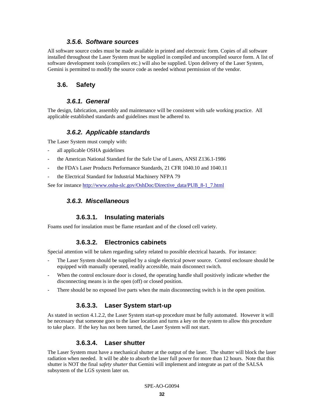### *3.5.6. Software sources*

All software source codes must be made available in printed and electronic form. Copies of all software installed throughout the Laser System must be supplied in compiled and uncompiled source form. A list of software development tools (compilers etc.) will also be supplied. Upon delivery of the Laser System, Gemini is permitted to modify the source code as needed without permission of the vendor.

# **3.6. Safety**

# *3.6.1. General*

The design, fabrication, assembly and maintenance will be consistent with safe working practice. All applicable established standards and guidelines must be adhered to.

# *3.6.2. Applicable standards*

The Laser System must comply with:

- all applicable OSHA guidelines
- the American National Standard for the Safe Use of Lasers, ANSI Z136.1-1986
- the FDA's Laser Products Performance Standards, 21 CFR 1040.10 and 1040.11
- the Electrical Standard for Industrial Machinery NFPA 79

See for instance http://www.osha-slc.gov/OshDoc/Directive\_data/PUB\_8-1\_7.html

# *3.6.3. Miscellaneous*

# **3.6.3.1. Insulating materials**

Foams used for insulation must be flame retardant and of the closed cell variety.

# **3.6.3.2. Electronics cabinets**

Special attention will be taken regarding safety related to possible electrical hazards. For instance:

- The Laser System should be supplied by a single electrical power source. Control enclosure should be equipped with manually operated, readily accessible, main disconnect switch.
- When the control enclosure door is closed, the operating handle shall positively indicate whether the disconnecting means is in the open (off) or closed position.
- There should be no exposed live parts when the main disconnecting switch is in the open position.

# **3.6.3.3. Laser System start-up**

As stated in section 4.1.2.2, the Laser System start-up procedure must be fully automated. However it will be necessary that someone goes to the laser location and turns a key on the system to allow this procedure to take place. If the key has not been turned, the Laser System will not start.

# **3.6.3.4. Laser shutter**

The Laser System must have a mechanical shutter at the output of the laser. The shutter will block the laser radiation when needed. It will be able to absorb the laser full power for more than 12 hours. Note that this shutter is NOT the final *safety shutter* that Gemini will implement and integrate as part of the SALSA subsystem of the LGS system later on.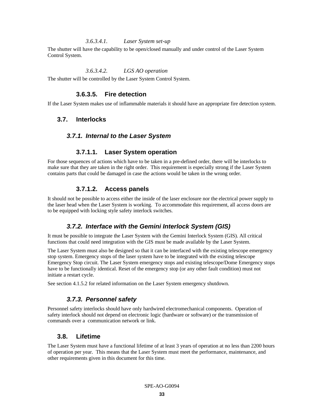#### *3.6.3.4.1. Laser System set-up*

The shutter will have the capability to be open/closed manually and under control of the Laser System Control System.

#### *3.6.3.4.2. LGS AO operation*

The shutter will be controlled by the Laser System Control System.

# **3.6.3.5. Fire detection**

If the Laser System makes use of inflammable materials it should have an appropriate fire detection system.

### **3.7. Interlocks**

#### *3.7.1. Internal to the Laser System*

### **3.7.1.1. Laser System operation**

For those sequences of actions which have to be taken in a pre-defined order, there will be interlocks to make sure that they are taken in the right order. This requirement is especially strong if the Laser System contains parts that could be damaged in case the actions would be taken in the wrong order.

### **3.7.1.2. Access panels**

It should not be possible to access either the inside of the laser enclosure nor the electrical power supply to the laser head when the Laser System is working. To accommodate this requirement, all access doors are to be equipped with locking style safety interlock switches.

# *3.7.2. Interface with the Gemini Interlock System (GIS)*

It must be possible to integrate the Laser System with the Gemini Interlock System (GIS). All critical functions that could need integration with the GIS must be made available by the Laser System.

The Laser System must also be designed so that it can be interfaced with the existing telescope emergency stop system. Emergency stops of the laser system have to be integrated with the existing telescope Emergency Stop circuit. The Laser System emergency stops and existing telescope/Dome Emergency stops have to be functionally identical. Reset of the emergency stop (or any other fault condition) must not initiate a restart cycle.

See section 4.1.5.2 for related information on the Laser System emergency shutdown.

### *3.7.3. Personnel safety*

Personnel safety interlocks should have only hardwired electromechanical components. Operation of safety interlock should not depend on electronic logic (hardware or software) or the transmission of commands over a communication network or link.

### **3.8. Lifetime**

The Laser System must have a functional lifetime of at least 3 years of operation at no less than 2200 hours of operation per year. This means that the Laser System must meet the performance, maintenance, and other requirements given in this document for this time.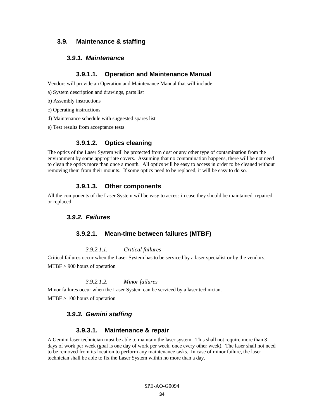# **3.9. Maintenance & staffing**

# *3.9.1. Maintenance*

### **3.9.1.1. Operation and Maintenance Manual**

Vendors will provide an Operation and Maintenance Manual that will include:

- a) System description and drawings, parts list
- b) Assembly instructions
- c) Operating instructions
- d) Maintenance schedule with suggested spares list
- e) Test results from acceptance tests

# **3.9.1.2. Optics cleaning**

The optics of the Laser System will be protected from dust or any other type of contamination from the environment by some appropriate covers. Assuming that no contamination happens, there will be not need to clean the optics more than once a month. All optics will be easy to access in order to be cleaned without removing them from their mounts. If some optics need to be replaced, it will be easy to do so.

# **3.9.1.3. Other components**

All the components of the Laser System will be easy to access in case they should be maintained, repaired or replaced.

# *3.9.2. Failures*

#### **3.9.2.1. Mean-time between failures (MTBF)**

#### *3.9.2.1.1. Critical failures*

Critical failures occur when the Laser System has to be serviced by a laser specialist or by the vendors.

MTBF > 900 hours of operation

#### *3.9.2.1.2. Minor failures*

Minor failures occur when the Laser System can be serviced by a laser technician.

MTBF > 100 hours of operation

# *3.9.3. Gemini staffing*

### **3.9.3.1. Maintenance & repair**

A Gemini laser technician must be able to maintain the laser system. This shall not require more than 3 days of work per week (goal is one day of work per week, once every other week). The laser shall not need to be removed from its location to perform any maintenance tasks. In case of minor failure, the laser technician shall be able to fix the Laser System within no more than a day.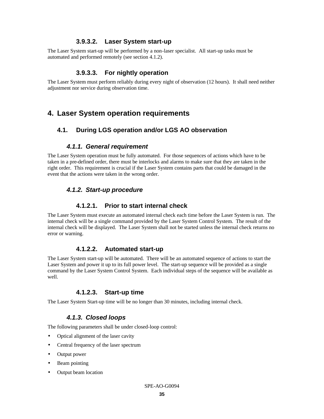# **3.9.3.2. Laser System start-up**

The Laser System start-up will be performed by a non-laser specialist. All start-up tasks must be automated and performed remotely (see section 4.1.2).

# **3.9.3.3. For nightly operation**

The Laser System must perform reliably during every night of observation (12 hours). It shall need neither adjustment nor service during observation time.

# **4. Laser System operation requirements**

# **4.1. During LGS operation and/or LGS AO observation**

# *4.1.1. General requirement*

The Laser System operation must be fully automated. For those sequences of actions which have to be taken in a pre-defined order, there must be interlocks and alarms to make sure that they are taken in the right order. This requirement is crucial if the Laser System contains parts that could be damaged in the event that the actions were taken in the wrong order.

# *4.1.2. Start-up procedure*

# **4.1.2.1. Prior to start internal check**

The Laser System must execute an automated internal check each time before the Laser System is run. The internal check will be a single command provided by the Laser System Control System. The result of the internal check will be displayed. The Laser System shall not be started unless the internal check returns no error or warning.

# **4.1.2.2. Automated start-up**

The Laser System start-up will be automated. There will be an automated sequence of actions to start the Laser System and power it up to its full power level. The start-up sequence will be provided as a single command by the Laser System Control System. Each individual steps of the sequence will be available as well.

# **4.1.2.3. Start-up time**

The Laser System Start-up time will be no longer than 30 minutes, including internal check.

# *4.1.3. Closed loops*

The following parameters shall be under closed-loop control:

- Optical alignment of the laser cavity
- Central frequency of the laser spectrum
- Output power
- Beam pointing
- Output beam location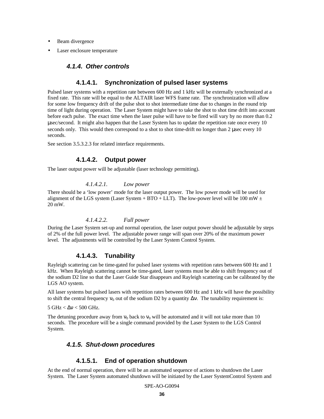- Beam divergence
- Laser enclosure temperature

# *4.1.4. Other controls*

### **4.1.4.1. Synchronization of pulsed laser systems**

Pulsed laser systems with a repetition rate between 600 Hz and 1 kHz will be externally synchronized at a fixed rate. This rate will be equal to the ALTAIR laser WFS frame rate. The synchronization will allow for some low frequency drift of the pulse shot to shot intermediate time due to changes in the round trip time of light during operation. The Laser System might have to take the shot to shot time drift into account before each pulse. The exact time when the laser pulse will have to be fired will vary by no more than 0.2 μsec/second. It might also happen that the Laser System has to update the repetition rate once every 10 seconds only. This would then correspond to a shot to shot time-drift no longer than 2 usec every 10 seconds.

See section 3.5.3.2.3 for related interface requirements.

### **4.1.4.2. Output power**

The laser output power will be adjustable (laser technology permitting).

#### *4.1.4.2.1. Low power*

There should be a 'low power' mode for the laser output power. The low power mode will be used for alignment of the LGS system (Laser System + BTO + LLT). The low-power level will be 100 mW  $\pm$ 20 mW.

#### *4.1.4.2.2. Full power*

During the Laser System set-up and normal operation, the laser output power should be adjustable by steps of 2% of the full power level. The adjustable power range will span over 20% of the maximum power level. The adjustments will be controlled by the Laser System Control System.

# **4.1.4.3. Tunability**

Rayleigh scattering can be time-gated for pulsed laser systems with repetition rates between 600 Hz and 1 kHz. When Rayleigh scattering cannot be time-gated, laser systems must be able to shift frequency out of the sodium D2 line so that the Laser Guide Star disappears and Rayleigh scattering can be calibrated by the LGS AO system.

All laser systems but pulsed lasers with repetition rates between 600 Hz and 1 kHz will have the possibility to shift the central frequency  $v_0$  out of the sodium D2 by a quantity  $\Delta v$ . The tunability requirement is:

 $5 \text{ GHz} < \Delta v < 500 \text{ GHz}.$ 

The detuning procedure away from  $v_0$  back to  $v_0$  will be automated and it will not take more than 10 seconds. The procedure will be a single command provided by the Laser System to the LGS Control System.

# *4.1.5. Shut-down procedures*

# **4.1.5.1. End of operation shutdown**

At the end of normal operation, there will be an automated sequence of actions to shutdown the Laser System. The Laser System automated shutdown will be initiated by the Laser SystemControl System and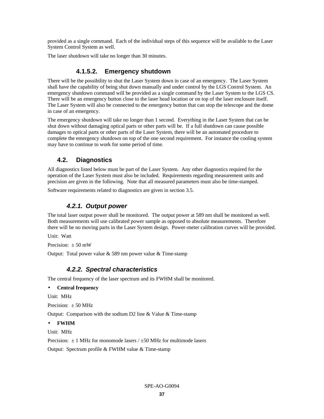provided as a single command. Each of the individual steps of this sequence will be available to the Laser System Control System as well.

The laser shutdown will take no longer than 30 minutes.

# **4.1.5.2. Emergency shutdown**

There will be the possibility to shut the Laser System down in case of an emergency. The Laser System shall have the capability of being shut down manually and under control by the LGS Control System. An emergency shutdown command will be provided as a single command by the Laser System to the LGS CS. There will be an emergency button close to the laser head location or on top of the laser enclosure itself. The Laser System will also be connected to the emergency button that can stop the telescope and the dome in case of an emergency.

The emergency shutdown will take no longer than 1 second. Everything in the Laser System that can be shut down without damaging optical parts or other parts will be. If a full shutdown can cause possible damages to optical parts or other parts of the Laser System, there will be an automated procedure to complete the emergency shutdown on top of the one second requirement. For instance the cooling system may have to continue to work for some period of time.

# **4.2. Diagnostics**

All diagnostics listed below must be part of the Laser System. Any other diagnostics required for the operation of the Laser System must also be included. Requirements regarding measurement units and precision are given in the following. Note that all measured parameters must also be time-stamped.

Software requirements related to diagnostics are given in section 3.5.

# *4.2.1. Output power*

The total laser output power shall be monitored. The output power at 589 nm shall be monitored as well. Both measurements will use calibrated power sample as opposed to absolute measurements. Therefore there will be no moving parts in the Laser System design. Power-meter calibration curves will be provided.

Unit: Watt

Precision:  $\pm 50$  mW

Output: Total power value & 589 nm power value & Time-stamp

# *4.2.2. Spectral characteristics*

The central frequency of the laser spectrum and its FWHM shall be monitored.

#### • **Central frequency**

Unit: MHz

Precision:  $\pm 50$  MHz

Output: Comparison with the sodium D2 line & Value & Time-stamp

#### • **FWHM**

Unit: MHz

Precision:  $\pm$  1 MHz for monomode lasers /  $\pm$ 50 MHz for multimode lasers Output: Spectrum profile & FWHM value & Time-stamp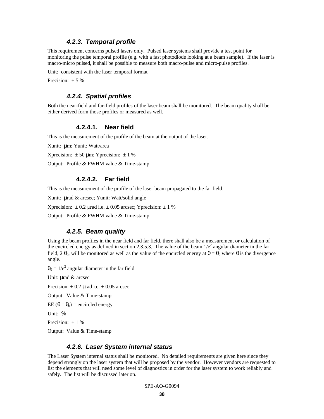#### *4.2.3. Temporal profile*

This requirement concerns pulsed lasers only. Pulsed laser systems shall provide a test point for monitoring the pulse temporal profile (e.g. with a fast photodiode looking at a beam sample). If the laser is macro-micro pulsed, it shall be possible to measure both macro-pulse and micro-pulse profiles.

Unit: consistent with the laser temporal format

Precision:  $\pm$  5 %

#### *4.2.4. Spatial profiles*

Both the near-field and far-field profiles of the laser beam shall be monitored. The beam quality shall be either derived form those profiles or measured as well.

#### **4.2.4.1. Near field**

This is the measurement of the profile of the beam at the output of the laser.

Xunit: μm; Yunit: Watt/area

Xprecision:  $\pm 50 \text{ µm}$ ; Yprecision:  $\pm 1 \%$ 

Output: Profile & FWHM value & Time-stamp

### **4.2.4.2. Far field**

This is the measurement of the profile of the laser beam propagated to the far field.

Xunit: μrad & arcsec; Yunit: Watt/solid angle

Xprecision:  $\pm 0.2$  µrad i.e.  $\pm 0.05$  arcsec; Yprecision:  $\pm 1$  %

Output: Profile & FWHM value & Time-stamp

#### *4.2.5. Beam quality*

Using the beam profiles in the near field and far field, there shall also be a measurement or calculation of the encircled energy as defined in section 2.3.5.3. The value of the beam  $1/e^2$  angular diameter in the far field, 2  $\theta_0$ , will be monitored as well as the value of the encircled energy at  $\theta = \theta_0$  where  $\theta$  is the divergence angle.

 $\theta_0 = 1/e^2$  angular diameter in the far field

Unit: μrad & arcsec

Precision:  $\pm$  0.2 µrad i.e.  $\pm$  0.05 arcsec

Output: Value & Time-stamp

EE (θ =  $θ_0$ ) = encircled energy

Unit: %

Precision:  $\pm$  1 %

Output: Value & Time-stamp

### *4.2.6. Laser System internal status*

The Laser System internal status shall be monitored. No detailed requirements are given here since they depend strongly on the laser system that will be proposed by the vendor. However vendors are requested to list the elements that will need some level of diagnostics in order for the laser system to work reliably and safely. The list will be discussed later on.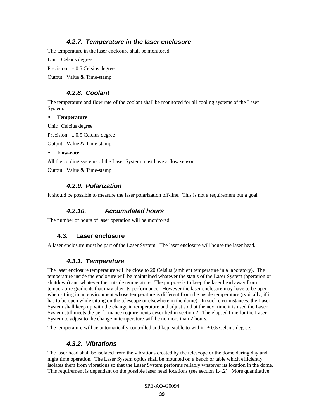# *4.2.7. Temperature in the laser enclosure*

The temperature in the laser enclosure shall be monitored.

Unit: Celsius degree

Precision:  $\pm 0.5$  Celsius degree

Output: Value & Time-stamp

# *4.2.8. Coolant*

The temperature and flow rate of the coolant shall be monitored for all cooling systems of the Laser System.

#### • **Temperature**

Unit: Celcius degree

Precision:  $\pm 0.5$  Celcius degree

Output: Value & Time-stamp

• **Flow-rate**

All the cooling systems of the Laser System must have a flow sensor.

Output: Value & Time-stamp

# *4.2.9. Polarization*

It should be possible to measure the laser polarization off-line. This is not a requirement but a goal.

# *4.2.10. Accumulated hours*

The number of hours of laser operation will be monitored.

# **4.3. Laser enclosure**

A laser enclosure must be part of the Laser System. The laser enclosure will house the laser head.

# *4.3.1. Temperature*

The laser enclosure temperature will be close to 20 Celsius (ambient temperature in a laboratory). The temperature inside the enclosure will be maintained whatever the status of the Laser System (operation or shutdown) and whatever the outside temperature. The purpose is to keep the laser head away from temperature gradients that may alter its performance. However the laser enclosure may have to be open when sitting in an environment whose temperature is different from the inside temperature (typically, if it has to be open while sitting on the telescope or elsewhere in the dome). In such circumstances, the Laser System shall keep up with the change in temperature and adjust so that the next time it is used the Laser System still meets the performance requirements described in section 2. The elapsed time for the Laser System to adjust to the change in temperature will be no more than 2 hours.

The temperature will be automatically controlled and kept stable to within  $\pm 0.5$  Celsius degree.

# *4.3.2. Vibrations*

The laser head shall be isolated from the vibrations created by the telescope or the dome during day and night time operation. The Laser System optics shall be mounted on a bench or table which efficiently isolates them from vibrations so that the Laser System performs reliably whatever its location in the dome. This requirement is dependant on the possible laser head locations (see section 1.4.2). More quantitative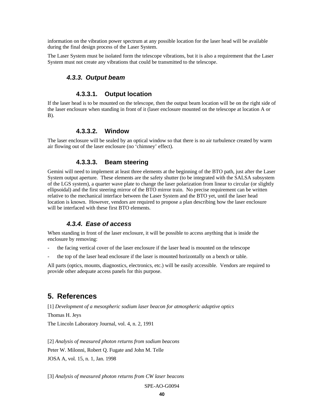information on the vibration power spectrum at any possible location for the laser head will be available during the final design process of the Laser System.

The Laser System must be isolated form the telescope vibrations, but it is also a requirement that the Laser System must not create any vibrations that could be transmitted to the telescope.

# *4.3.3. Output beam*

### **4.3.3.1. Output location**

If the laser head is to be mounted on the telescope, then the output beam location will be on the right side of the laser enclosure when standing in front of it (laser enclosure mounted on the telescope at location A or B).

# **4.3.3.2. Window**

The laser enclosure will be sealed by an optical window so that there is no air turbulence created by warm air flowing out of the laser enclosure (no 'chimney' effect).

#### **4.3.3.3. Beam steering**

Gemini will need to implement at least three elements at the beginning of the BTO path, just after the Laser System output aperture. These elements are the safety shutter (to be integrated with the SALSA subsystem of the LGS system), a quarter wave plate to change the laser polarization from linear to circular (or slightly ellipsoidal) and the first steering mirror of the BTO mirror train. No precise requirement can be written relative to the mechanical interface between the Laser System and the BTO yet, until the laser head location is known. However, vendors are required to propose a plan describing how the laser enclosure will be interfaced with these first BTO elements.

# *4.3.4. Ease of access*

When standing in front of the laser enclosure, it will be possible to access anything that is inside the enclosure by removing:

- the facing vertical cover of the laser enclosure if the laser head is mounted on the telescope
- the top of the laser head enclosure if the laser is mounted horizontally on a bench or table.

All parts (optics, mounts, diagnostics, electronics, etc.) will be easily accessible. Vendors are required to provide other adequate access panels for this purpose.

# **5. References**

[1] *Development of a mesospheric sodium laser beacon for atmospheric adaptive optics* Thomas H. Jeys The Lincoln Laboratory Journal, vol. 4, n. 2, 1991

[2] *Analysis of measured photon returns from sodium beacons* Peter W. Milonni, Robert Q. Fugate and John M. Telle JOSA A, vol. 15, n. 1, Jan. 1998

[3] *Analysis of measured photon returns from CW laser beacons*